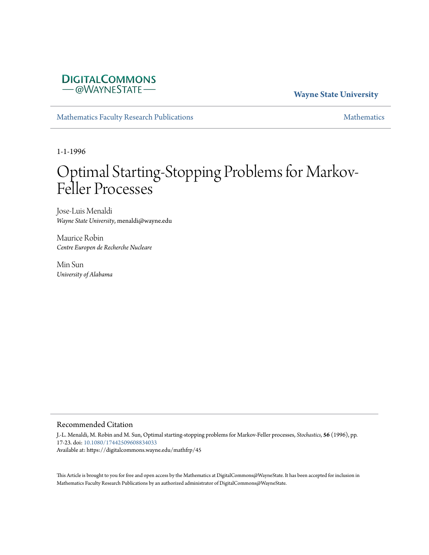## **DIGITALCOMMONS** - @WAYNESTATE-

### **Wayne State University**

[Mathematics Faculty Research Publications](https://digitalcommons.wayne.edu/mathfrp) and the mathematics of the [Mathematics](https://digitalcommons.wayne.edu/math) Mathematics Mathematics of the Mathematics of the Mathematics of the Mathematics of the Mathematics of the Mathematics of the Mathematics of

1-1-1996

# Optimal Starting-Stopping Problems for Markov-Feller Processes

Jose-Luis Menaldi *Wayne State University*, menaldi@wayne.edu

Maurice Robin *Centre Europen de Recherche Nucleare*

Min Sun *University of Alabama*

#### Recommended Citation

J.-L. Menaldi, M. Robin and M. Sun, Optimal starting-stopping problems for Markov-Feller processes, *Stochastics*, **56** (1996), pp. 17-23. doi: [10.1080/17442509608834033](https://dx.doi.org/10.1080/17442509608834033) Available at: https://digitalcommons.wayne.edu/mathfrp/45

This Article is brought to you for free and open access by the Mathematics at DigitalCommons@WayneState. It has been accepted for inclusion in Mathematics Faculty Research Publications by an authorized administrator of DigitalCommons@WayneState.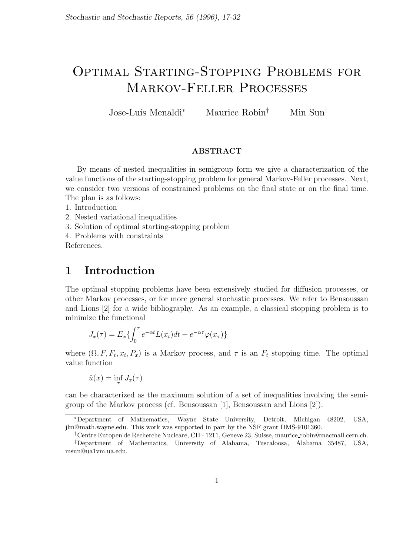## Optimal Starting-Stopping Problems for Markov-Feller Processes

Jose-Luis Menaldi*<sup>∗</sup>* Maurice Robin*†* Min Sun*‡*

#### **ABSTRACT**

By means of nested inequalities in semigroup form we give a characterization of the value functions of the starting-stopping problem for general Markov-Feller processes. Next, we consider two versions of constrained problems on the final state or on the final time. The plan is as follows:

1. Introduction

2. Nested variational inequalities

3. Solution of optimal starting-stopping problem

4. Problems with constraints

References.

## **1 Introduction**

The optimal stopping problems have been extensively studied for diffusion processes, or other Markov processes, or for more general stochastic processes. We refer to Bensoussan and Lions [2] for a wide bibliography. As an example, a classical stopping problem is to minimize the functional

$$
J_x(\tau) = E_x \{ \int_0^{\tau} e^{-\alpha t} L(x_t) dt + e^{-\alpha \tau} \varphi(x_{\tau}) \}
$$

where  $(\Omega, F, F_t, x_t, P_x)$  is a Markov process, and  $\tau$  is an  $F_t$  stopping time. The optimal value function

$$
\hat{u}(x) = \inf_{\tau} J_x(\tau)
$$

can be characterized as the maximum solution of a set of inequalities involving the semigroup of the Markov process (cf. Bensoussan [1], Bensoussan and Lions [2]).

*<sup>∗</sup>*Department of Mathematics, Wayne State University, Detroit, Michigan 48202, USA, jlm@math.wayne.edu. This work was supported in part by the NSF grant DMS-9101360.

*<sup>†</sup>*Centre Europen de Recherche Nucleare, CH - 1211, Geneve 23, Suisse, maurice robin@macmail.cern.ch. *‡*Department of Mathematics, University of Alabama, Tuscaloosa, Alabama 35487, USA, msun@ua1vm.ua.edu.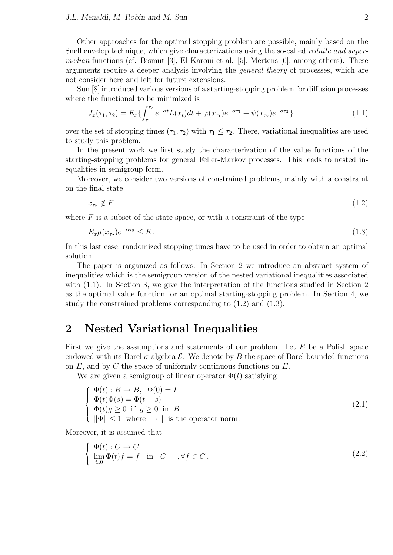Other approaches for the optimal stopping problem are possible, mainly based on the Snell envelop technique, which give characterizations using the so-called *reduite and supermedian* functions (cf. Bismut [3], El Karoui et al. [5], Mertens [6], among others). These arguments require a deeper analysis involving the *general theory* of processes, which are not consider here and left for future extensions.

Sun [8] introduced various versions of a starting-stopping problem for diffusion processes where the functional to be minimized is

$$
J_x(\tau_1, \tau_2) = E_x \{ \int_{\tau_1}^{\tau_2} e^{-\alpha t} L(x_t) dt + \varphi(x_{\tau_1}) e^{-\alpha \tau_1} + \psi(x_{\tau_2}) e^{-\alpha \tau_2} \}
$$
(1.1)

over the set of stopping times  $(\tau_1, \tau_2)$  with  $\tau_1 \leq \tau_2$ . There, variational inequalities are used to study this problem.

In the present work we first study the characterization of the value functions of the starting-stopping problems for general Feller-Markov processes. This leads to nested inequalities in semigroup form.

Moreover, we consider two versions of constrained problems, mainly with a constraint on the final state

$$
x_{\tau_2} \notin F \tag{1.2}
$$

where  $F$  is a subset of the state space, or with a constraint of the type

$$
E_x \mu(x_{\tau_2}) e^{-\alpha \tau_2} \le K. \tag{1.3}
$$

In this last case, randomized stopping times have to be used in order to obtain an optimal solution.

The paper is organized as follows: In Section 2 we introduce an abstract system of inequalities which is the semigroup version of the nested variational inequalities associated with (1.1). In Section 3, we give the interpretation of the functions studied in Section 2 as the optimal value function for an optimal starting-stopping problem. In Section 4, we study the constrained problems corresponding to (1.2) and (1.3).

## **2 Nested Variational Inequalities**

First we give the assumptions and statements of our problem. Let *E* be a Polish space endowed with its Borel  $\sigma$ -algebra  $\mathcal E$ . We denote by  $B$  the space of Borel bounded functions on *E,* and by *C* the space of uniformly continuous functions on *E.*

We are given a semigroup of linear operator  $\Phi(t)$  satisfying

$$
\begin{cases}\n\Phi(t): B \to B, & \Phi(0) = I \\
\Phi(t)\Phi(s) = \Phi(t+s) \\
\Phi(t)g \ge 0 & \text{if } g \ge 0 \text{ in } B \\
\|\Phi\| \le 1 & \text{where } \|\cdot\| \text{ is the operator norm.} \n\end{cases}
$$
\n(2.1)

Moreover, it is assumed that

$$
\begin{cases} \Phi(t): C \to C \\ \lim_{t \downarrow 0} \Phi(t)f = f \text{ in } C \quad , \forall f \in C. \end{cases}
$$
 (2.2)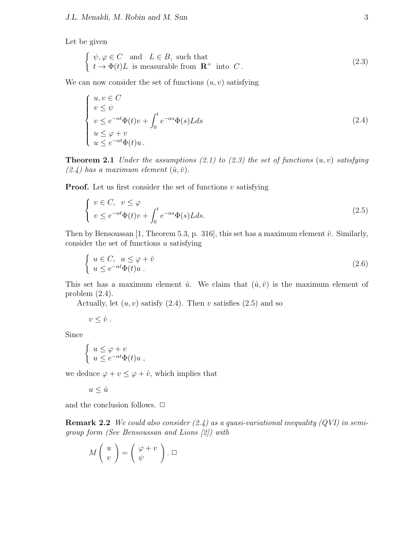Let be given

$$
\begin{cases} \psi, \varphi \in C \text{ and } L \in B, \text{ such that} \\ t \to \Phi(t)L \text{ is measurable from } \mathbf{R}^+ \text{ into } C. \end{cases}
$$
 (2.3)

We can now consider the set of functions  $(u, v)$  satisfying

$$
\begin{cases}\n u, v \in C \\
 v \le \psi \\
 v \le e^{-\alpha t} \Phi(t) v + \int_0^t e^{-\alpha s} \Phi(s) L ds \\
 u \le \varphi + v \\
 u \le e^{-\alpha t} \Phi(t) u.\n\end{cases} \tag{2.4}
$$

**Theorem 2.1** *Under the assumptions (2.1) to (2.3) the set of functions* (*u, v*) *satisfying*  $(2.4)$  has a maximum element  $(\hat{u}, \hat{v})$ .

**Proof.** Let us first consider the set of functions *v* satisfying

$$
\begin{cases}\nv \in C, & v \le \varphi \\
v \le e^{-\alpha t} \Phi(t)v + \int_0^t e^{-\alpha s} \Phi(s) L ds.\n\end{cases}
$$
\n(2.5)

Then by Bensoussan [1, Theorem 5.3, p. 316], this set has a maximum element  $\hat{v}$ . Similarly, consider the set of functions *u* satisfying

$$
\begin{cases}\n u \in C, \ u \le \varphi + \hat{v} \\
 u \le e^{-\alpha t} \Phi(t) u \n\end{cases} \n\tag{2.6}
$$

This set has a maximum element  $\hat{u}$ . We claim that  $(\hat{u}, \hat{v})$  is the maximum element of problem (2.4).

Actually, let  $(u, v)$  satisfy  $(2.4)$ . Then  $v$  satisfies  $(2.5)$  and so

 $v \leq \hat{v}$ .

Since

$$
\begin{cases} u \leq \varphi + v \\ u \leq e^{-\alpha t} \Phi(t) u , \end{cases}
$$

we deduce  $\varphi + v \leq \varphi + \hat{v}$ , which implies that

 $u \leq \hat{u}$ 

and the conclusion follows.  $\Box$ 

**Remark 2.2** *We could also consider (2.4) as a quasi-variational inequality (QVI) in semigroup form (See Bensoussan and Lions [2]) with*

$$
M\left(\begin{array}{c}u\\v\end{array}\right)=\left(\begin{array}{c}\varphi+v\\ \psi\end{array}\right).\ \Box
$$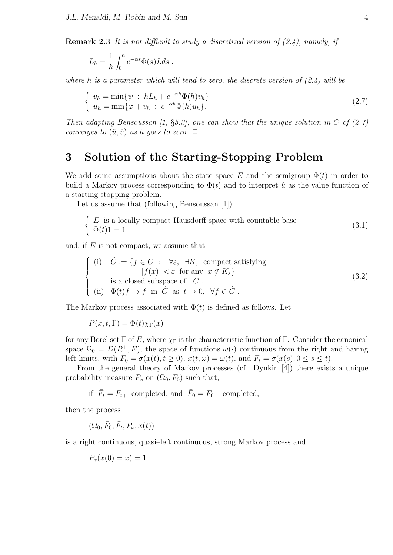**Remark 2.3** *It is not difficult to study a discretized version of (2.4), namely, if*

$$
L_h = \frac{1}{h} \int_0^h e^{-\alpha s} \Phi(s) L ds ,
$$

*where h is a parameter which will tend to zero, the discrete version of (2.4) will be*

$$
\begin{cases}\nv_h = \min\{\psi : hL_h + e^{-\alpha h}\Phi(h)v_h\} \\
u_h = \min\{\varphi + v_h : e^{-\alpha h}\Phi(h)u_h\}.\n\end{cases} \tag{2.7}
$$

*Then adapting Bensoussan [1, §5.3], one can show that the unique solution in C of (2.7) converges to*  $(\hat{u}, \hat{v})$  *as h goes to zero.*  $\Box$ 

## **3 Solution of the Starting-Stopping Problem**

We add some assumptions about the state space  $E$  and the semigroup  $\Phi(t)$  in order to build a Markov process corresponding to  $\Phi(t)$  and to interpret  $\hat{u}$  as the value function of a starting-stopping problem.

Let us assume that (following Bensoussan [1]).

$$
\begin{cases}\nE \text{ is a locally compact Hausdorff space with countable base} \\
\Phi(t)1 = 1\n\end{cases}
$$
\n(3.1)

and, if *E* is not compact, we assume that

$$
\begin{cases}\n(i) & \hat{C} := \{f \in C : \forall \varepsilon, \exists K_{\varepsilon} \text{ compact satisfying} \\
|f(x)| < \varepsilon \text{ for any } x \notin K_{\varepsilon}\} \\
ii) & \text{ a closed subspace of } C \\
(ii) & \Phi(t)f \to f \text{ in } \hat{C} \text{ as } t \to 0, \forall f \in \hat{C}.\n\end{cases}
$$
\n(3.2)

The Markov process associated with  $\Phi(t)$  is defined as follows. Let

$$
P(x, t, \Gamma) = \Phi(t)\chi_{\Gamma}(x)
$$

for any Borel set  $\Gamma$  of *E*, where  $\chi_{\Gamma}$  is the characteristic function of  $\Gamma$ . Consider the canonical space  $\Omega_0 = D(R^+, E)$ , the space of functions  $\omega(\cdot)$  continuous from the right and having left limits, with  $F_0 = \sigma(x(t), t \ge 0)$ ,  $x(t, \omega) = \omega(t)$ , and  $F_t = \sigma(x(s), 0 \le s \le t)$ .

From the general theory of Markov processes (cf. Dynkin [4]) there exists a unique probability measure  $P_x$  on  $(\Omega_0, F_0)$  such that,

if  $\overline{F}_t = F_{t+}$  completed, and  $\overline{F}_0 = F_{0+}$  completed,

then the process

$$
(\Omega_0, \bar{F}_0, \bar{F}_t, P_x, x(t))
$$

is a right continuous, quasi–left continuous, strong Markov process and

$$
P_x(x(0)=x)=1.
$$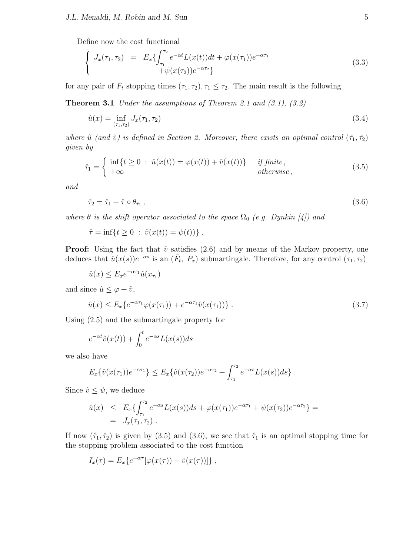Define now the cost functional

$$
\begin{cases}\nJ_x(\tau_1, \tau_2) = E_x \{ \int_{\tau_1}^{\tau_2} e^{-\alpha t} L(x(t)) dt + \varphi(x(\tau_1)) e^{-\alpha \tau_1} \\
+ \psi(x(\tau_2)) e^{-\alpha \tau_2} \}\n\end{cases} \tag{3.3}
$$

for any pair of  $\bar{F}_t$  stopping times  $(\tau_1, \tau_2), \tau_1 \leq \tau_2$ . The main result is the following

**Theorem 3.1** *Under the assumptions of Theorem 2.1 and (3.1), (3.2)*

$$
\hat{u}(x) = \inf_{(\tau_1, \tau_2)} J_x(\tau_1, \tau_2) \tag{3.4}
$$

*where*  $\hat{u}$  (and  $\hat{v}$ ) is defined in Section 2. Moreover, there exists an optimal control  $(\hat{\tau}_1, \hat{\tau}_2)$ *given by*

$$
\hat{\tau}_1 = \begin{cases} \inf\{t \ge 0 \, : \, \hat{u}(x(t)) = \varphi(x(t)) + \hat{v}(x(t))\} & \text{if finite,} \\ +\infty & \text{otherwise,} \end{cases} \tag{3.5}
$$

*and*

$$
\hat{\tau}_2 = \hat{\tau}_1 + \hat{\tau} \circ \theta_{\hat{\tau}_1},\tag{3.6}
$$

*where*  $\theta$  *is the shift operator associated to the space*  $\Omega_0$  *(e.g. Dynkin [4]) and* 

 $\hat{\tau} = \inf\{t \geq 0 : \hat{v}(x(t)) = \psi(t)\}.$ 

**Proof:** Using the fact that  $\hat{v}$  satisfies (2.6) and by means of the Markov property, one deduces that  $\hat{u}(x(s))e^{-\alpha s}$  is an  $(\bar{F}_t, P_x)$  submartingale. Therefore, for any control  $(\tau_1, \tau_2)$ 

 $\hat{u}(x) \le E_x e^{-\alpha \tau_1} \hat{u}(x_{\tau_1})$ 

and since  $\hat{u} \leq \varphi + \hat{v}$ ,

$$
\hat{u}(x) \le E_x \{ e^{-\alpha \tau_1} \varphi(x(\tau_1)) + e^{-\alpha \tau_1} \hat{v}(x(\tau_1)) \} . \tag{3.7}
$$

Using (2.5) and the submartingale property for

$$
e^{-\alpha t}\hat{v}(x(t)) + \int_0^t e^{-\alpha s} L(x(s))ds
$$

we also have

$$
E_x\{\hat{v}(x(\tau_1))e^{-\alpha\tau_1}\} \le E_x\{\hat{v}(x(\tau_2))e^{-\alpha\tau_2} + \int_{\tau_1}^{\tau_2}e^{-\alpha s}L(x(s))ds\}.
$$

Since  $\hat{v} \leq \psi$ , we deduce

$$
\hat{u}(x) \leq E_x \{ \int_{\tau_1}^{\tau_2} e^{-\alpha s} L(x(s)) ds + \varphi(x(\tau_1)) e^{-\alpha \tau_1} + \psi(x(\tau_2)) e^{-\alpha \tau_2} \} =
$$
  
=  $J_x(\tau_1, \tau_2)$ .

If now  $(\hat{\tau}_1, \hat{\tau}_2)$  is given by (3.5) and (3.6), we see that  $\hat{\tau}_1$  is an optimal stopping time for the stopping problem associated to the cost function

$$
I_x(\tau) = E_x\{e^{-\alpha \tau}[\varphi(x(\tau)) + \hat{v}(x(\tau))]\},\,
$$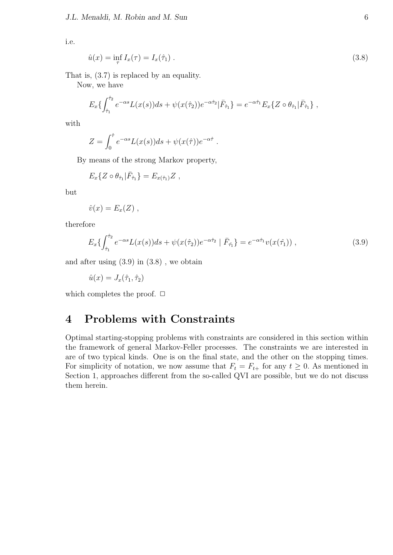i.e.

$$
\hat{u}(x) = \inf_{\tau} I_x(\tau) = I_x(\hat{\tau}_1) \tag{3.8}
$$

That is, (3.7) is replaced by an equality.

Now, we have

$$
E_x\{\int_{\hat{\tau}_1}^{\hat{\tau}_2} e^{-\alpha s} L(x(s))ds + \psi(x(\hat{\tau}_2))e^{-\alpha \hat{\tau}_2}|\bar{F}_{\hat{\tau}_1}\} = e^{-\alpha \hat{\tau}_1}E_x\{Z \circ \theta_{\hat{\tau}_1}|\bar{F}_{\hat{\tau}_1}\},\,
$$

*.*

with

$$
Z = \int_0^{\hat{\tau}} e^{-\alpha s} L(x(s)) ds + \psi(x(\hat{\tau})) e^{-\alpha \hat{\tau}}
$$

By means of the strong Markov property,

$$
E_x\{Z\circ\theta_{\hat{\tau}_1}|\bar{F}_{\hat{\tau}_1}\}=E_{x(\hat{\tau}_1)}Z\;,
$$

but

$$
\hat{v}(x) = E_x(Z) ,
$$

therefore

$$
E_x\{\int_{\hat{\tau}_1}^{\hat{\tau}_2} e^{-\alpha s} L(x(s))ds + \psi(x(\hat{\tau}_2))e^{-\alpha \hat{\tau}_2} \mid \bar{F}_{\hat{\tau}_1}\} = e^{-\alpha \hat{\tau}_1} v(x(\hat{\tau}_1)),
$$
\n(3.9)

and after using (3.9) in (3.8) , we obtain

$$
\hat{u}(x) = J_x(\hat{\tau}_1, \hat{\tau}_2)
$$

which completes the proof.  $\Box$ 

## **4 Problems with Constraints**

Optimal starting-stopping problems with constraints are considered in this section within the framework of general Markov-Feller processes. The constraints we are interested in are of two typical kinds. One is on the final state, and the other on the stopping times. For simplicity of notation, we now assume that  $F_t = F_{t+}$  for any  $t \geq 0$ . As mentioned in Section 1, approaches different from the so-called QVI are possible, but we do not discuss them herein.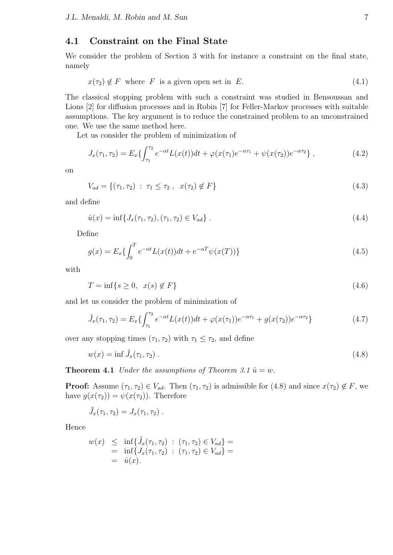## **4.1 Constraint on the Final State**

We consider the problem of Section 3 with for instance a constraint on the final state, namely

$$
x(\tau_2) \notin F \text{ where } F \text{ is a given open set in } E. \tag{4.1}
$$

The classical stopping problem with such a constraint was studied in Bensoussan and Lions [2] for diffusion processes and in Robin [7] for Feller-Markov processes with suitable assumptions. The key argument is to reduce the constrained problem to an unconstrained one. We use the same method here.

Let us consider the problem of minimization of

$$
J_x(\tau_1, \tau_2) = E_x \{ \int_{\tau_1}^{\tau_2} e^{-\alpha t} L(x(t)) dt + \varphi(x(\tau_1) e^{-\alpha \tau_1} + \psi(x(\tau_2)) e^{-\alpha \tau_2} \}, \qquad (4.2)
$$

on

$$
V_{ad} = \{ (\tau_1, \tau_2) : \tau_1 \le \tau_2 , \ x(\tau_2) \notin F \}
$$
\n(4.3)

and define

$$
\hat{u}(x) = \inf\{J_x(\tau_1, \tau_2), (\tau_1, \tau_2) \in V_{ad}\}.
$$
\n(4.4)

Define

$$
g(x) = E_x \{ \int_0^T e^{-\alpha t} L(x(t)) dt + e^{-\alpha T} \psi(x(T)) \}
$$
\n(4.5)

with

$$
T = \inf\{s \ge 0, \ x(s) \notin F\} \tag{4.6}
$$

and let us consider the problem of minimization of

$$
\tilde{J}_x(\tau_1, \tau_2) = E_x \{ \int_{\tau_1}^{\tau_2} e^{-\alpha t} L(x(t)) dt + \varphi(x(\tau_1)) e^{-\alpha \tau_1} + g(x(\tau_2)) e^{-\alpha \tau_2} \}
$$
\n(4.7)

over any stopping times  $(\tau_1, \tau_2)$  with  $\tau_1 \leq \tau_2$ , and define

$$
w(x) = \inf \tilde{J}_x(\tau_1, \tau_2). \tag{4.8}
$$

**Theorem 4.1** *Under the assumptions of Theorem 3.1*  $\hat{u} = w$ .

**Proof:** Assume  $(\tau_1, \tau_2) \in V_{ad}$ . Then  $(\tau_1, \tau_2)$  is admissible for (4.8) and since  $x(\tau_2) \notin F$ , we have  $g(x(\tau_2)) = \psi(x(\tau_2))$ . Therefore

$$
\tilde{J}_x(\tau_1, \tau_2) = J_x(\tau_1, \tau_2) .
$$

Hence

$$
w(x) \leq \inf \{ \tilde{J}_x(\tau_1, \tau_2) : (\tau_1, \tau_2) \in V_{ad} \} =
$$
  
=  $\inf \{ J_x(\tau_1, \tau_2) : (\tau_1, \tau_2) \in V_{ad} \} =$   
=  $\hat{u}(x).$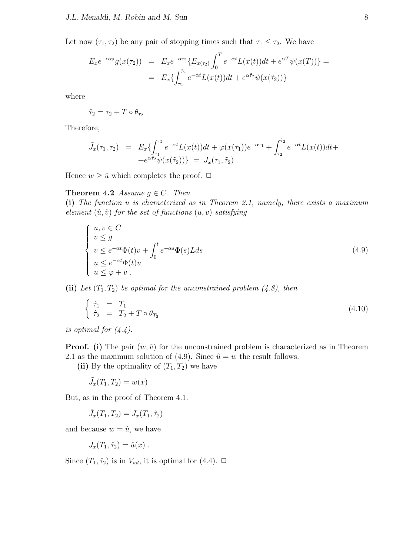Let now  $(\tau_1, \tau_2)$  be any pair of stopping times such that  $\tau_1 \leq \tau_2$ . We have

$$
E_x e^{-\alpha \tau_2} g(x(\tau_2)) = E_x e^{-\alpha \tau_2} \{ E_{x(\tau_2)} \int_0^T e^{-\alpha t} L(x(t)) dt + e^{\alpha T} \psi(x(T)) \} = E_x \{ \int_{\tau_2}^{\tilde{\tau}_2} e^{-\alpha t} L(x(t)) dt + e^{\alpha \tilde{\tau}_2} \psi(x(\tilde{\tau}_2)) \}
$$

where

$$
\tilde{\tau}_2 = \tau_2 + T \circ \theta_{\tau_2} .
$$

Therefore,

$$
\tilde{J}_x(\tau_1, \tau_2) = E_x \{ \int_{\tau_1}^{\tau_2} e^{-\alpha t} L(x(t)) dt + \varphi(x(\tau_1)) e^{-\alpha \tau_1} + \int_{\tau_2}^{\tilde{\tau}_2} e^{-\alpha t} L(x(t)) dt + e^{\alpha \tilde{\tau}_2} \psi(x(\tilde{\tau}_2)) \} = J_x(\tau_1, \tilde{\tau}_2).
$$

Hence  $w \geq \hat{u}$  which completes the proof.  $\Box$ 

#### **Theorem 4.2** *Assume*  $q \in C$ *. Then*

**(i)** *The function u is characterized as in Theorem 2.1, namely, there exists a maximum element*  $(\hat{u}, \hat{v})$  *for the set of functions*  $(u, v)$  *satisfying* 

$$
\begin{cases}\n u, v \in C \\
 v \le g \\
 v \le e^{-\alpha t} \Phi(t) v + \int_0^t e^{-\alpha s} \Phi(s) L ds \\
 u \le e^{-\alpha t} \Phi(t) u \\
 u \le \varphi + v .\n\end{cases} \tag{4.9}
$$

**(ii)** Let  $(T_1, T_2)$  be optimal for the unconstrained problem  $(4.8)$ , then

$$
\begin{cases}\n\hat{\tau}_1 = T_1 \\
\hat{\tau}_2 = T_2 + T \circ \theta_{T_2}\n\end{cases} (4.10)
$$

*is optimal for (4.4).*

**Proof.** (i) The pair  $(w, \hat{v})$  for the unconstrained problem is characterized as in Theorem 2.1 as the maximum solution of (4.9). Since  $\hat{u} = w$  the result follows.

(ii) By the optimality of  $(T_1, T_2)$  we have

$$
\tilde{J}_x(T_1,T_2)=w(x) .
$$

But, as in the proof of Theorem 4.1.

$$
\tilde{J}_x(T_1, T_2) = J_x(T_1, \hat{\tau}_2)
$$

and because  $w = \hat{u}$ , we have

$$
J_x(T_1, \hat{\tau}_2) = \hat{u}(x) .
$$

Since  $(T_1, \hat{\tau}_2)$  is in  $V_{ad}$ , it is optimal for  $(4.4)$ .  $\Box$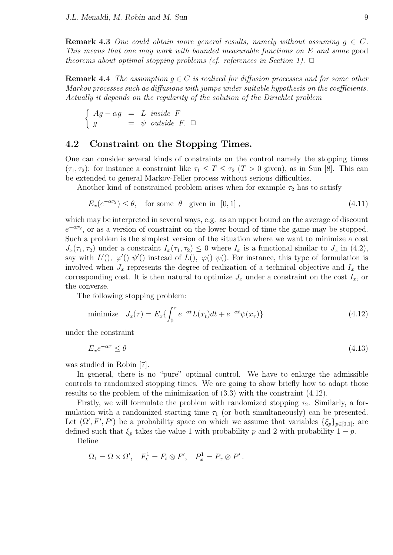**Remark 4.3** *One could obtain more general results, namely without assuming*  $q \in C$ *. This means that one may work with bounded measurable functions on E and some* good *theorems about optimal stopping problems (cf. references in Section 1).*  $\Box$ 

**Remark 4.4** *The assumption*  $q \in C$  *is realized for diffusion processes and for some other Markov processes such as diffusions with jumps under suitable hypothesis on the coefficients. Actually it depends on the regularity of the solution of the Dirichlet problem*

$$
\begin{cases}\nAg - \alpha g = L \ \text{inside } F \\
g = \psi \ \text{outside } F. \square\n\end{cases}
$$

#### **4.2 Constraint on the Stopping Times.**

One can consider several kinds of constraints on the control namely the stopping times  $(\tau_1, \tau_2)$ : for instance a constraint like  $\tau_1 \leq T \leq \tau_2$  (*T* > 0 given), as in Sun [8]. This can be extended to general Markov-Feller process without serious difficulties.

Another kind of constrained problem arises when for example  $\tau_2$  has to satisfy

$$
E_x(e^{-\alpha \tau_2}) \le \theta, \quad \text{for some } \theta \quad \text{given in } [0,1], \tag{4.11}
$$

which may be interpreted in several ways, e.g. as an upper bound on the average of discount *e*<sup> $-ατ2$ </sup>, or as a version of constraint on the lower bound of time the game may be stopped. Such a problem is the simplest version of the situation where we want to minimize a cost  $J_x(\tau_1, \tau_2)$  under a constraint  $I_x(\tau_1, \tau_2) \leq 0$  where  $I_x$  is a functional similar to  $J_x$  in (4.2), say with  $L'()$ ,  $\varphi'() \psi'()$  instead of  $L()$ ,  $\varphi() \psi()$ . For instance, this type of formulation is involved when  $J_x$  represents the degree of realization of a technical objective and  $I_x$  the corresponding cost. It is then natural to optimize  $J_x$  under a constraint on the cost  $I_x$ , or the converse.

The following stopping problem:

minimize 
$$
J_x(\tau) = E_x \{ \int_0^{\tau} e^{-\alpha t} L(x_t) dt + e^{-\alpha t} \psi(x_\tau) \}
$$
 (4.12)

under the constraint

$$
E_x e^{-\alpha \tau} \le \theta \tag{4.13}
$$

was studied in Robin [7].

In general, there is no "pure" optimal control. We have to enlarge the admissible controls to randomized stopping times. We are going to show briefly how to adapt those results to the problem of the minimization of (3.3) with the constraint (4.12).

Firstly, we will formulate the problem with randomized stopping  $\tau_2$ . Similarly, a formulation with a randomized starting time  $\tau_1$  (or both simultaneously) can be presented. Let  $(\Omega', F', P')$  be a probability space on which we assume that variables  $\{\xi_p\}_{p\in[0,1]}$ , are defined such that  $\xi_p$  takes the value 1 with probability *p* and 2 with probability 1 *− p*.

Define

$$
\Omega_1 = \Omega \times \Omega', \quad F_t^1 = F_t \otimes F', \quad P_x^1 = P_x \otimes P'.
$$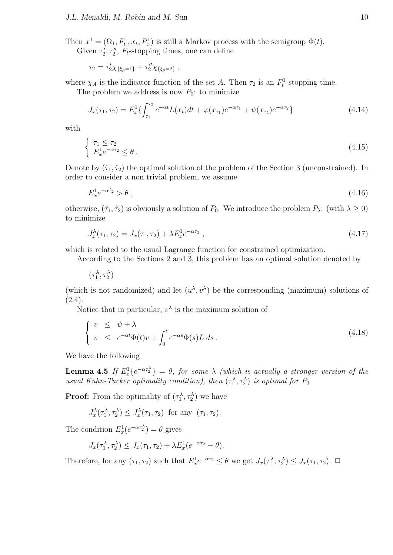Then  $x^1 = (\Omega_1, F_t^1, x_t, P_x^1)$  is still a Markov process with the semigroup  $\Phi(t)$ . Given  $\tau'_2$ ,  $\tau''_2$ ,  $F_t$ -stopping times, one can define

$$
\tau_2 = \tau_2' \chi_{\{\xi_p=1\}} + \tau_2'' \chi_{\{\xi_p=2\}} ,
$$

where  $\chi_A$  is the indicator function of the set *A*. Then  $\tau_2$  is an  $F_t^1$ -stopping time.

The problem we address is now  $P_0$ : to minimize

$$
J_x(\tau_1, \tau_2) = E_x^1 \{ \int_{\tau_1}^{\tau_2} e^{-\alpha t} L(x_t) dt + \varphi(x_{\tau_1}) e^{-\alpha \tau_1} + \psi(x_{\tau_2}) e^{-\alpha \tau_2} \}
$$
(4.14)

with

$$
\begin{cases} \tau_1 \le \tau_2\\ E_x^1 e^{-\alpha \tau_2} \le \theta \,. \end{cases} \tag{4.15}
$$

Denote by  $(\hat{\tau}_1, \hat{\tau}_2)$  the optimal solution of the problem of the Section 3 (unconstrained). In order to consider a non trivial problem, we assume

$$
E_x^1 e^{-\alpha \hat{\tau}_2} > \theta \tag{4.16}
$$

otherwise,  $(\hat{\tau}_1, \hat{\tau}_2)$  is obviously a solution of  $P_0$ . We introduce the problem  $P_\lambda$ : (with  $\lambda \geq 0$ ) to minimize

$$
J_x^{\lambda}(\tau_1, \tau_2) = J_x(\tau_1, \tau_2) + \lambda E_x^1 e^{-\alpha \tau_2} , \qquad (4.17)
$$

which is related to the usual Lagrange function for constrained optimization.

According to the Sections 2 and 3, this problem has an optimal solution denoted by

$$
(\tau_1^\lambda,\tau_2^\lambda)
$$

(which is not randomized) and let  $(u^{\lambda}, v^{\lambda})$  be the corresponding (maximum) solutions of (2.4).

Notice that in particular,  $v^{\lambda}$  is the maximum solution of

$$
\begin{cases}\nv \leq \psi + \lambda \\
v \leq e^{-\alpha t} \Phi(t) v + \int_0^t e^{-\alpha s} \Phi(s) L \, ds.\n\end{cases} \tag{4.18}
$$

We have the following

**Lemma 4.5** *If*  $E_x^1\{e^{-\alpha\tau_2^{\lambda}}\} = \theta$ , for some  $\lambda$  (which is actually a stronger version of the *usual Kuhn-Tucker optimality condition), then*  $(\tau_1^{\lambda}, \tau_2^{\lambda})$  *is optimal for*  $P_0$ *.* 

**Proof:** From the optimality of  $(\tau_1^{\lambda}, \tau_2^{\lambda})$  we have

$$
J_x^{\lambda}(\tau_1^{\lambda}, \tau_2^{\lambda}) \leq J_x^{\lambda}(\tau_1, \tau_2) \text{ for any } (\tau_1, \tau_2).
$$

The condition  $E_x^1(e^{-\alpha \tau_2^{\lambda}}) = \theta$  gives

$$
J_x(\tau_1^{\lambda}, \tau_2^{\lambda}) \le J_x(\tau_1, \tau_2) + \lambda E_x^1(e^{-\alpha \tau_2} - \theta).
$$

Therefore, for any  $(\tau_1, \tau_2)$  such that  $E_x^1 e^{-\alpha \tau_2} \leq \theta$  we get  $J_x(\tau_1^{\lambda}, \tau_2^{\lambda}) \leq J_x(\tau_1, \tau_2)$ .  $\Box$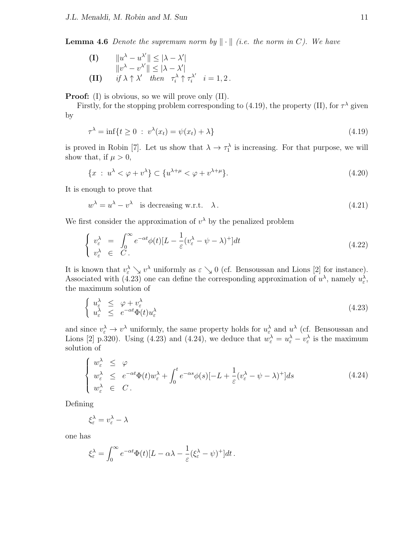**Lemma 4.6** *Denote the supremum norm by*  $\|\cdot\|$  *(i.e. the norm in C). We have* 

 $||u^{\lambda} - u^{\lambda'}|| \leq |\lambda - \lambda'|$  $||v^{\lambda} - v^{\lambda'}|| \leq |\lambda - \lambda'|$ **(II)**  $if \lambda \uparrow \lambda'$  *then*  $\tau_i^{\lambda} \uparrow \tau_i^{\lambda'}$   $i = 1, 2$ .

**Proof:** (I) is obvious, so we will prove only (II).

Firstly, for the stopping problem corresponding to (4.19), the property (II), for  $\tau^{\lambda}$  given by

$$
\tau^{\lambda} = \inf\{t \ge 0 \; : \; v^{\lambda}(x_t) = \psi(x_t) + \lambda\}
$$
\n(4.19)

is proved in Robin [7]. Let us show that  $\lambda \to \tau_1^{\lambda}$  is increasing. For that purpose, we will show that, if  $\mu > 0$ ,

$$
\{x : u^{\lambda} < \varphi + v^{\lambda}\} \subset \{u^{\lambda + \mu} < \varphi + v^{\lambda + \mu}\}.
$$
\n(4.20)

It is enough to prove that

$$
w^{\lambda} = u^{\lambda} - v^{\lambda} \quad \text{is decreasing w.r.t.} \quad \lambda \,. \tag{4.21}
$$

We first consider the approximation of  $v^{\lambda}$  by the penalized problem

$$
\begin{cases}\nv_{\varepsilon}^{\lambda} = \int_{0}^{\infty} e^{-\alpha t} \phi(t) [L - \frac{1}{\varepsilon} (v_{\varepsilon}^{\lambda} - \psi - \lambda)^{+}] dt \\
v_{\varepsilon}^{\lambda} \in C. \n\end{cases} \tag{4.22}
$$

It is known that  $v_{\varepsilon}^{\lambda} \searrow v^{\lambda}$  uniformly as  $\varepsilon \searrow 0$  (cf. Bensoussan and Lions [2] for instance). Associated with (4.23) one can define the corresponding approximation of  $u^{\lambda}$ , namely  $u_{\varepsilon}^{\lambda}$ , the maximum solution of

$$
\begin{cases} u_{\varepsilon}^{\lambda} \leq \varphi + v_{\varepsilon}^{\lambda} \\ u_{\varepsilon}^{\lambda} \leq e^{-\alpha t} \Phi(t) u_{\varepsilon}^{\lambda} \end{cases} \tag{4.23}
$$

and since  $v_{\varepsilon}^{\lambda} \to v^{\lambda}$  uniformly, the same property holds for  $u_{\varepsilon}^{\lambda}$  and  $u^{\lambda}$  (cf. Bensoussan and Lions [2] p.320). Using (4.23) and (4.24), we deduce that  $w_{\varepsilon}^{\lambda} = u_{\varepsilon}^{\lambda} - v_{\varepsilon}^{\lambda}$  is the maximum solution of

$$
\begin{cases} w_{\varepsilon}^{\lambda} \leq \varphi \\ w_{\varepsilon}^{\lambda} \leq e^{-\alpha t} \Phi(t) w_{\varepsilon}^{\lambda} + \int_{0}^{t} e^{-\alpha s} \phi(s) [-L + \frac{1}{\varepsilon} (v_{\varepsilon}^{\lambda} - \psi - \lambda)^{+}] ds \\ w_{\varepsilon}^{\lambda} \in C. \end{cases}
$$
 (4.24)

Defining

$$
\xi_{\varepsilon}^{\lambda} = v_{\varepsilon}^{\lambda} - \lambda
$$

one has

$$
\xi_{\varepsilon}^{\lambda} = \int_0^{\infty} e^{-\alpha t} \Phi(t) [L - \alpha \lambda - \frac{1}{\varepsilon} (\xi_{\varepsilon}^{\lambda} - \psi)^+] dt.
$$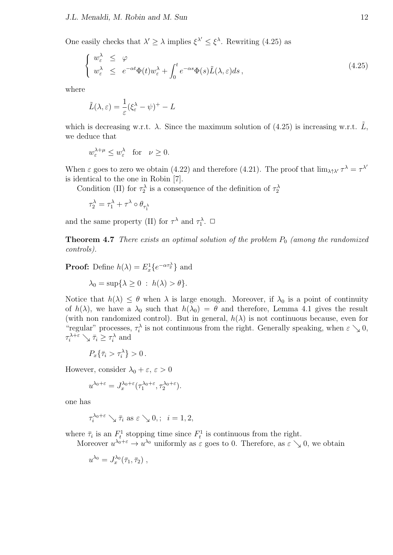One easily checks that  $\lambda' \geq \lambda$  implies  $\xi^{\lambda'} \leq \xi^{\lambda}$ . Rewriting (4.25) as

$$
\begin{cases} w_{\varepsilon}^{\lambda} \leq \varphi \\ w_{\varepsilon}^{\lambda} \leq e^{-\alpha t} \Phi(t) w_{\varepsilon}^{\lambda} + \int_{0}^{t} e^{-\alpha s} \Phi(s) \tilde{L}(\lambda, \varepsilon) ds, \end{cases}
$$
\n(4.25)

where

$$
\tilde{L}(\lambda,\varepsilon) = \frac{1}{\varepsilon} (\xi_{\varepsilon}^{\lambda} - \psi)^{+} - L
$$

which is decreasing w.r.t.  $\lambda$ . Since the maximum solution of (4.25) is increasing w.r.t.  $\tilde{L}$ , we deduce that

$$
w_{\varepsilon}^{\lambda+\mu} \le w_{\varepsilon}^{\lambda} \quad \text{for} \quad \nu \ge 0.
$$

When  $\varepsilon$  goes to zero we obtain (4.22) and therefore (4.21). The proof that  $\lim_{\lambda \uparrow} \lambda' \tau^{\lambda} = \tau^{\lambda'}$ is identical to the one in Robin [7].

Condition (II) for  $\tau_2^{\lambda}$  is a consequence of the definition of  $\tau_2^{\lambda}$ 

$$
\tau_2^\lambda = \tau_1^\lambda + \tau^\lambda \circ \theta_{\tau_1^\lambda}
$$

and the same property (II) for  $\tau^{\lambda}$  and  $\tau_1^{\lambda}$ .  $\Box$ 

**Theorem 4.7** *There exists an optimal solution of the problem*  $P_0$  *(among the randomized controls).*

**Proof:** Define  $h(\lambda) = E_x^1\{e^{-\alpha \tau_2^{\lambda}}\}\$ and

$$
\lambda_0 = \sup \{ \lambda \ge 0 \; : \; h(\lambda) > \theta \}.
$$

Notice that  $h(\lambda) \leq \theta$  when  $\lambda$  is large enough. Moreover, if  $\lambda_0$  is a point of continuity of  $h(\lambda)$ , we have a  $\lambda_0$  such that  $h(\lambda_0) = \theta$  and therefore, Lemma 4.1 gives the result (with non randomized control). But in general,  $h(\lambda)$  is not continuous because, even for "regular" processes,  $\tau_i^{\lambda}$  is not continuous from the right. Generally speaking, when  $\varepsilon \searrow 0$ ,  $\tau_i^{\lambda+\varepsilon} \searrow \overline{\tau}_i \geq \tau_i^{\lambda}$  and

 $P_x\{\bar{\tau}_i > \tau_i^{\lambda}\} > 0$ .

However, consider  $\lambda_0 + \varepsilon$ ,  $\varepsilon > 0$ 

$$
u^{\lambda_0+\varepsilon} = J_x^{\lambda_0+\varepsilon}(\tau_1^{\lambda_0+\varepsilon},\tau_2^{\lambda_0+\varepsilon}).
$$

one has

$$
\tau_i^{\lambda_0+\varepsilon}\searrow \bar\tau_i \text{ as }\varepsilon\searrow 0, ; \ \ i=1,2,
$$

where  $\bar{\tau}_i$  is an  $F_t^1$  stopping time since  $F_t^1$  is continuous from the right.

Moreover  $u^{\lambda_0+\varepsilon} \to u^{\lambda_0}$  uniformly as  $\varepsilon$  goes to 0. Therefore, as  $\varepsilon \searrow 0$ , we obtain

$$
u^{\lambda_0}=J_x^{\lambda_0}(\bar\tau_1,\bar\tau_2)\;,
$$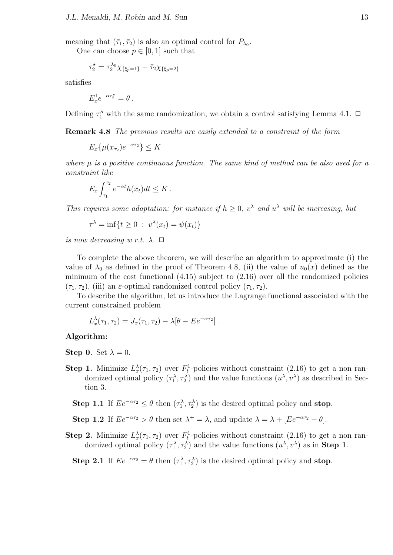meaning that  $(\bar{\tau}_1, \bar{\tau}_2)$  is also an optimal control for  $P_{\lambda_0}$ .

One can choose  $p \in [0, 1]$  such that

$$
\tau_2^{\star} = \tau_2^{\lambda_0} \chi_{\{\xi_p = 1\}} + \bar{\tau}_2 \chi_{\{\xi_p = 2\}}
$$

satisfies

$$
E_x^1 e^{-\alpha \tau_2^*} = \theta \,.
$$

Defining  $\tau''_1$  with the same randomization, we obtain a control satisfying Lemma 4.1.  $\Box$ 

**Remark 4.8** *The previous results are easily extended to a constraint of the form*

 $E_x\{\mu(x_{\tau_2})e^{-\alpha\tau_2}\}\leq K$ 

*where µ is a positive continuous function. The same kind of method can be also used for a constraint like*

$$
E_x \int_{\tau_1}^{\tau_2} e^{-\alpha t} h(x_t) dt \leq K.
$$

*This requires some adaptation: for instance if*  $h \geq 0$ ,  $v^{\lambda}$  *and*  $u^{\lambda}$  *will be increasing, but* 

$$
\tau^{\lambda} = \inf\{t \ge 0 \; : \; v^{\lambda}(x_t) = \psi(x_t)\}
$$

*is now decreasing w.r.t.*  $\lambda$ .  $\Box$ 

To complete the above theorem, we will describe an algorithm to approximate (i) the value of  $\lambda_0$  as defined in the proof of Theorem 4.8, (ii) the value of  $u_0(x)$  defined as the minimum of the cost functional (4.15) subject to (2.16) over all the randomized policies  $(\tau_1, \tau_2)$ , (iii) an *ε*-optimal randomized control policy  $(\tau_1, \tau_2)$ .

To describe the algorithm, let us introduce the Lagrange functional associated with the current constrained problem

$$
L_x^{\lambda}(\tau_1, \tau_2) = J_x(\tau_1, \tau_2) - \lambda [\theta - E e^{-\alpha \tau_2}].
$$

**Algorithm:**

**Step 0.** Set  $\lambda = 0$ .

**Step 1.** Minimize  $L_x^{\lambda}(\tau_1, \tau_2)$  over  $F_t^1$ -policies without constraint (2.16) to get a non randomized optimal policy  $(\tau_1^{\lambda}, \tau_2^{\lambda})$  and the value functions  $(u^{\lambda}, v^{\lambda})$  as described in Section 3.

**Step 1.1** If  $Ee^{-\alpha\tau_2} \leq \theta$  then  $(\tau_1^{\lambda}, \tau_2^{\lambda})$  is the desired optimal policy and **stop**.

**Step 1.2** If  $Ee^{-\alpha\tau_2} > \theta$  then set  $\lambda^+ = \lambda$ , and update  $\lambda = \lambda + [Ee^{-\alpha\tau_2} - \theta]$ .

**Step 2.** Minimize  $L_x^{\lambda}(\tau_1, \tau_2)$  over  $F_t^1$ -policies without constraint (2.16) to get a non randomized optimal policy  $(\tau_1^{\lambda}, \tau_2^{\lambda})$  and the value functions  $(u^{\lambda}, v^{\lambda})$  as in **Step 1**.

**Step 2.1** If  $Ee^{-\alpha\tau_2} = \theta$  then  $(\tau_1^{\lambda}, \tau_2^{\lambda})$  is the desired optimal policy and **stop**.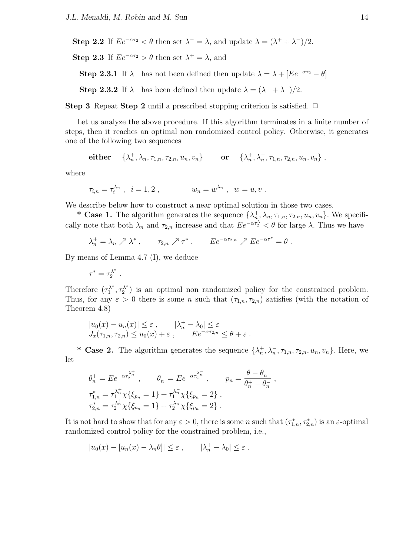**Step 2.2** If  $Ee^{-\alpha\tau_2} < \theta$  then set  $\lambda = \lambda$ , and update  $\lambda = (\lambda^+ + \lambda^-)/2$ . **Step 2.3** If  $Ee^{-\alpha\tau_2} > \theta$  then set  $\lambda^+ = \lambda$ , and **Step 2.3.1** If  $\lambda$ <sup>−</sup> has not been defined then update  $\lambda = \lambda + [Ee^{-\alpha \tau_2} - \theta]$ **Step 2.3.2** If  $\lambda^-$  has been defined then update  $\lambda = (\lambda^+ + \lambda^-)/2$ .

**Step 3** Repeat **Step 2** until a prescribed stopping criterion is satisfied.  $\Box$ 

Let us analyze the above procedure. If this algorithm terminates in a finite number of steps, then it reaches an optimal non randomized control policy. Otherwise, it generates one of the following two sequences

$$
\text{either} \quad \{\lambda_n^+, \lambda_n, \tau_{1,n}, \tau_{2,n}, u_n, v_n\} \qquad \text{or} \quad \{\lambda_n^+, \lambda_n^-, \tau_{1,n}, \tau_{2,n}, u_n, v_n\}\ ,
$$

where

$$
\tau_{i,n} = \tau_i^{\lambda_n} \;, \ \ i=1,2 \;, \qquad \qquad w_n = w^{\lambda_n} \;, \ \ w=u,v \;.
$$

We describe below how to construct a near optimal solution in those two cases.

**\* Case 1.** The algorithm generates the sequence  $\{\lambda_n^+, \lambda_n, \tau_{1,n}, \tau_{2,n}, u_n, v_n\}$ . We specifically note that both  $\lambda_n$  and  $\tau_{2,n}$  increase and that  $Ee^{-\alpha \tau_2^{\lambda}} < \theta$  for large  $\lambda$ . Thus we have

$$
\lambda_n^+ = \lambda_n \nearrow \lambda^*, \qquad \tau_{2,n} \nearrow \tau^*, \qquad E e^{-\alpha \tau_{2,n}} \nearrow E e^{-\alpha \tau^*} = \theta.
$$

By means of Lemma 4.7 (I), we deduce

$$
\tau^* = \tau_2^{\lambda^*}.
$$

Therefore  $(\tau_1^{\lambda^*}, \tau_2^{\lambda^*})$  is an optimal non randomized policy for the constrained problem. Thus, for any  $\varepsilon > 0$  there is some *n* such that  $(\tau_{1,n}, \tau_{2,n})$  satisfies (with the notation of Theorem 4.8)

$$
|u_0(x) - u_n(x)| \le \varepsilon, \qquad |\lambda_n^+ - \lambda_0| \le \varepsilon
$$
  

$$
J_x(\tau_{1,n}, \tau_{2,n}) \le u_0(x) + \varepsilon, \qquad E e^{-\alpha \tau_{2,n}} \le \theta + \varepsilon.
$$

**\*** Case 2. The algorithm generates the sequence  $\{\lambda_n^+, \lambda_n^-, \tau_{1,n}, \tau_{2,n}, u_n, v_n\}$ . Here, we let

$$
\theta_n^+ = E e^{-\alpha \tau_2^{\lambda_n^+}}, \qquad \theta_n^- = E e^{-\alpha \tau_2^{\lambda_n^-}}, \qquad p_n = \frac{\theta - \theta_n^-}{\theta_n^+ - \theta_n^-},
$$
  

$$
\tau_{1,n}^* = \tau_1^{\lambda_n^+} \chi \{ \xi_{p_n} = 1 \} + \tau_1^{\lambda_n^-} \chi \{ \xi_{p_n} = 2 \},
$$
  

$$
\tau_{2,n}^* = \tau_2^{\lambda_n^+} \chi \{ \xi_{p_n} = 1 \} + \tau_2^{\lambda_n^-} \chi \{ \xi_{p_n} = 2 \}.
$$

It is not hard to show that for any  $\varepsilon > 0$ , there is some *n* such that  $(\tau_{1,n}^*, \tau_{2,n}^*)$  is an  $\varepsilon$ -optimal randomized control policy for the constrained problem, i.e.,

$$
|u_0(x) - [u_n(x) - \lambda_n \theta]| \le \varepsilon, \qquad |\lambda_n^+ - \lambda_0| \le \varepsilon.
$$